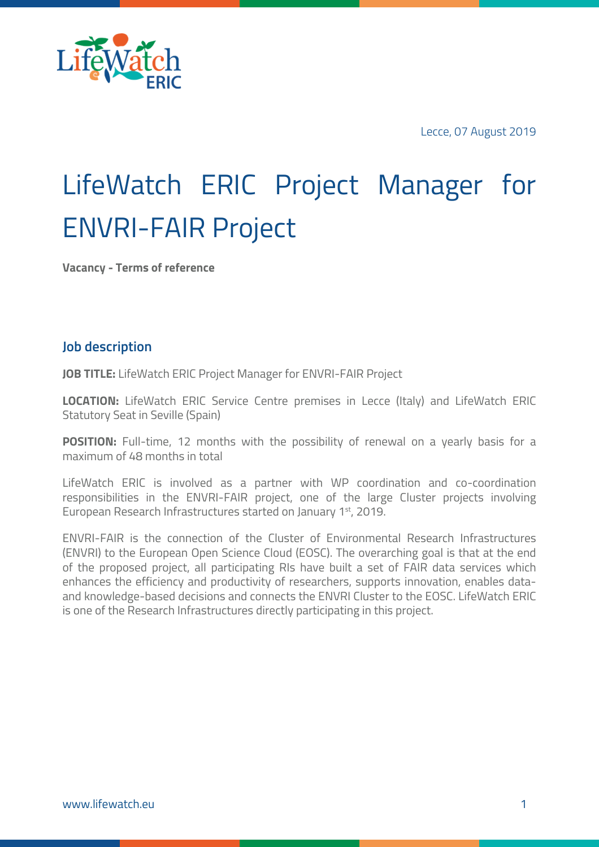

Lecce, 07 August 2019

# LifeWatch ERIC Project Manager for ENVRI-FAIR Project

**Vacancy - Terms of reference**

#### **Job description**

**JOB TITLE:** LifeWatch ERIC Project Manager for ENVRI-FAIR Project

**LOCATION:** LifeWatch ERIC Service Centre premises in Lecce (Italy) and LifeWatch ERIC Statutory Seat in Seville (Spain)

**POSITION:** Full-time, 12 months with the possibility of renewal on a yearly basis for a maximum of 48 months in total

LifeWatch ERIC is involved as a partner with WP coordination and co-coordination responsibilities in the ENVRI-FAIR project, one of the large Cluster projects involving European Research Infrastructures started on January 1st, 2019.

ENVRI-FAIR is the connection of the Cluster of Environmental Research Infrastructures (ENVRI) to the European Open Science Cloud (EOSC). The overarching goal is that at the end of the proposed project, all participating RIs have built a set of FAIR data services which enhances the efficiency and productivity of researchers, supports innovation, enables dataand knowledge-based decisions and connects the ENVRI Cluster to the EOSC. LifeWatch ERIC is one of the Research Infrastructures directly participating in this project.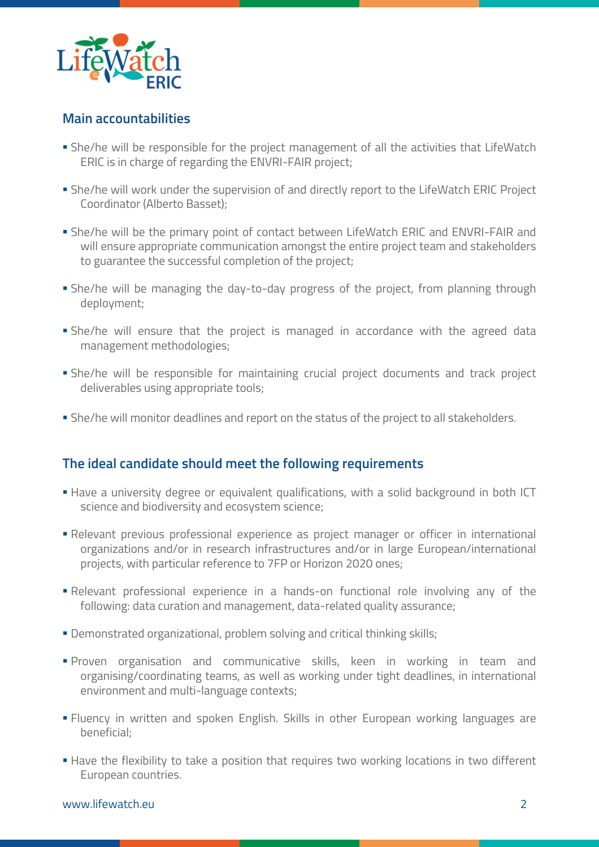

### **Main accountabilities**

- § She/he will be responsible for the project management of all the activities that LifeWatch ERIC is in charge of regarding the ENVRI-FAIR project;
- § She/he will work under the supervision of and directly report to the LifeWatch ERIC Project Coordinator (Alberto Basset);
- § She/he will be the primary point of contact between LifeWatch ERIC and ENVRI-FAIR and will ensure appropriate communication amongst the entire project team and stakeholders to guarantee the successful completion of the project;
- § She/he will be managing the day-to-day progress of the project, from planning through deployment;
- § She/he will ensure that the project is managed in accordance with the agreed data management methodologies;
- § She/he will be responsible for maintaining crucial project documents and track project deliverables using appropriate tools;
- § She/he will monitor deadlines and report on the status of the project to all stakeholders.

# **The ideal candidate should meet the following requirements**

- Have a university degree or equivalent qualifications, with a solid background in both ICT science and biodiversity and ecosystem science;
- § Relevant previous professional experience as project manager or officer in international organizations and/or in research infrastructures and/or in large European/international projects, with particular reference to 7FP or Horizon 2020 ones;
- § Relevant professional experience in a hands-on functional role involving any of the following: data curation and management, data-related quality assurance;
- § Demonstrated organizational, problem solving and critical thinking skills;
- § Proven organisation and communicative skills, keen in working in team and organising/coordinating teams, as well as working under tight deadlines, in international environment and multi-language contexts;
- § Fluency in written and spoken English. Skills in other European working languages are beneficial;
- **Have the flexibility to take a position that requires two working locations in two different** European countries.

#### www.lifewatch.eu 2008 - 2008 - 2008 - 2008 - 2018 - 2018 - 2018 - 2018 - 2018 - 2018 - 2018 - 2018 - 2018 - 20